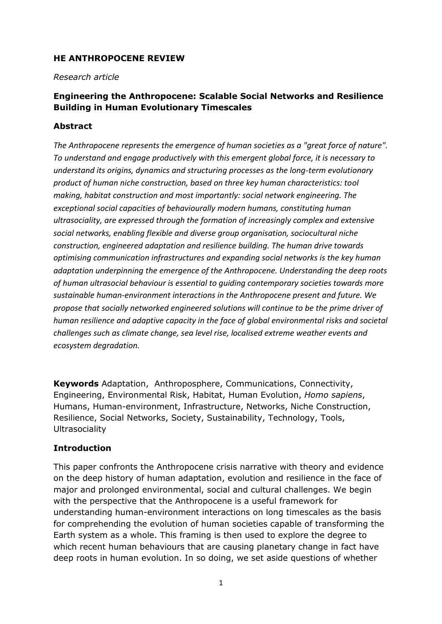# **HE ANTHROPOCENE REVIEW**

#### *Research article*

# **Engineering the Anthropocene: Scalable Social Networks and Resilience Building in Human Evolutionary Timescales**

## **Abstract**

*The Anthropocene represents the emergence of human societies as a "great force of nature". To understand and engage productively with this emergent global force, it is necessary to understand its origins, dynamics and structuring processes as the long-term evolutionary product of human niche construction, based on three key human characteristics: tool making, habitat construction and most importantly: social network engineering. The exceptional social capacities of behaviourally modern humans, constituting human ultrasociality, are expressed through the formation of increasingly complex and extensive social networks, enabling flexible and diverse group organisation, sociocultural niche construction, engineered adaptation and resilience building. The human drive towards optimising communication infrastructures and expanding social networks is the key human adaptation underpinning the emergence of the Anthropocene. Understanding the deep roots of human ultrasocial behaviour is essential to guiding contemporary societies towards more sustainable human-environment interactions in the Anthropocene present and future. We propose that socially networked engineered solutions will continue to be the prime driver of human resilience and adaptive capacity in the face of global environmental risks and societal challenges such as climate change, sea level rise, localised extreme weather events and ecosystem degradation.*

**Keywords** Adaptation, Anthroposphere, Communications, Connectivity, Engineering, Environmental Risk, Habitat, Human Evolution, *Homo sapiens*, Humans, Human-environment, Infrastructure, Networks, Niche Construction, Resilience, Social Networks, Society, Sustainability, Technology, Tools, **Ultrasociality** 

#### **Introduction**

This paper confronts the Anthropocene crisis narrative with theory and evidence on the deep history of human adaptation, evolution and resilience in the face of major and prolonged environmental, social and cultural challenges. We begin with the perspective that the Anthropocene is a useful framework for understanding human-environment interactions on long timescales as the basis for comprehending the evolution of human societies capable of transforming the Earth system as a whole. This framing is then used to explore the degree to which recent human behaviours that are causing planetary change in fact have deep roots in human evolution. In so doing, we set aside questions of whether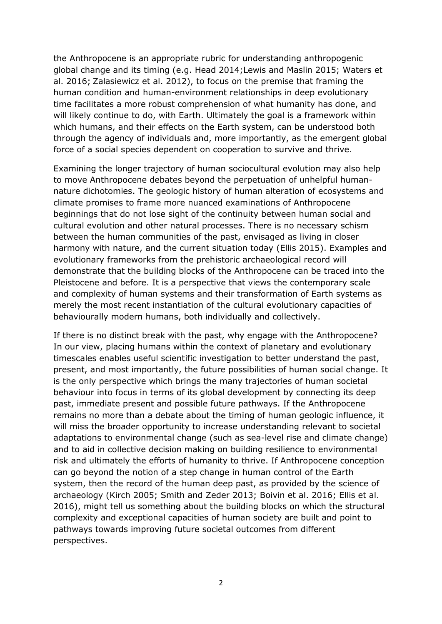the Anthropocene is an appropriate rubric for understanding anthropogenic global change and its timing (e.g. Head 2014;Lewis and Maslin 2015; Waters et al. 2016; Zalasiewicz et al. 2012), to focus on the premise that framing the human condition and human-environment relationships in deep evolutionary time facilitates a more robust comprehension of what humanity has done, and will likely continue to do, with Earth. Ultimately the goal is a framework within which humans, and their effects on the Earth system, can be understood both through the agency of individuals and, more importantly, as the emergent global force of a social species dependent on cooperation to survive and thrive.

Examining the longer trajectory of human sociocultural evolution may also help to move Anthropocene debates beyond the perpetuation of unhelpful humannature dichotomies. The geologic history of human alteration of ecosystems and climate promises to frame more nuanced examinations of Anthropocene beginnings that do not lose sight of the continuity between human social and cultural evolution and other natural processes. There is no necessary schism between the human communities of the past, envisaged as living in closer harmony with nature, and the current situation today (Ellis 2015). Examples and evolutionary frameworks from the prehistoric archaeological record will demonstrate that the building blocks of the Anthropocene can be traced into the Pleistocene and before. It is a perspective that views the contemporary scale and complexity of human systems and their transformation of Earth systems as merely the most recent instantiation of the cultural evolutionary capacities of behaviourally modern humans, both individually and collectively.

If there is no distinct break with the past, why engage with the Anthropocene? In our view, placing humans within the context of planetary and evolutionary timescales enables useful scientific investigation to better understand the past, present, and most importantly, the future possibilities of human social change. It is the only perspective which brings the many trajectories of human societal behaviour into focus in terms of its global development by connecting its deep past, immediate present and possible future pathways. If the Anthropocene remains no more than a debate about the timing of human geologic influence, it will miss the broader opportunity to increase understanding relevant to societal adaptations to environmental change (such as sea-level rise and climate change) and to aid in collective decision making on building resilience to environmental risk and ultimately the efforts of humanity to thrive. If Anthropocene conception can go beyond the notion of a step change in human control of the Earth system, then the record of the human deep past, as provided by the science of archaeology (Kirch 2005; Smith and Zeder 2013; Boivin et al. 2016; Ellis et al. 2016), might tell us something about the building blocks on which the structural complexity and exceptional capacities of human society are built and point to pathways towards improving future societal outcomes from different perspectives.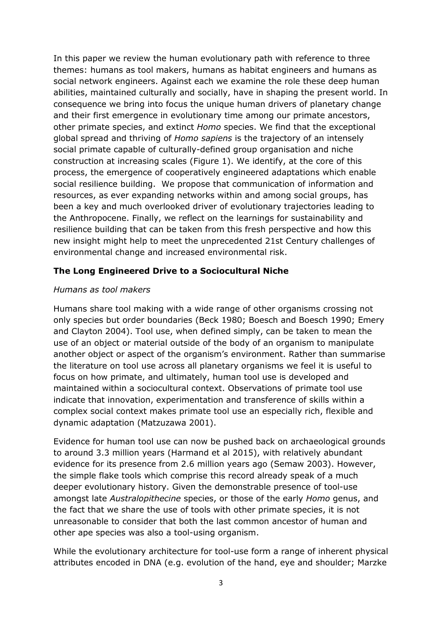In this paper we review the human evolutionary path with reference to three themes: humans as tool makers, humans as habitat engineers and humans as social network engineers. Against each we examine the role these deep human abilities, maintained culturally and socially, have in shaping the present world. In consequence we bring into focus the unique human drivers of planetary change and their first emergence in evolutionary time among our primate ancestors, other primate species, and extinct *Homo* species. We find that the exceptional global spread and thriving of *Homo sapiens* is the trajectory of an intensely social primate capable of culturally-defined group organisation and niche construction at increasing scales (Figure 1). We identify, at the core of this process, the emergence of cooperatively engineered adaptations which enable social resilience building. We propose that communication of information and resources, as ever expanding networks within and among social groups, has been a key and much overlooked driver of evolutionary trajectories leading to the Anthropocene. Finally, we reflect on the learnings for sustainability and resilience building that can be taken from this fresh perspective and how this new insight might help to meet the unprecedented 21st Century challenges of environmental change and increased environmental risk.

## **The Long Engineered Drive to a Sociocultural Niche**

#### *Humans as tool makers*

Humans share tool making with a wide range of other organisms crossing not only species but order boundaries (Beck 1980; Boesch and Boesch 1990; Emery and Clayton 2004). Tool use, when defined simply, can be taken to mean the use of an object or material outside of the body of an organism to manipulate another object or aspect of the organism's environment. Rather than summarise the literature on tool use across all planetary organisms we feel it is useful to focus on how primate, and ultimately, human tool use is developed and maintained within a sociocultural context. Observations of primate tool use indicate that innovation, experimentation and transference of skills within a complex social context makes primate tool use an especially rich, flexible and dynamic adaptation (Matzuzawa 2001).

Evidence for human tool use can now be pushed back on archaeological grounds to around 3.3 million years (Harmand et al 2015), with relatively abundant evidence for its presence from 2.6 million years ago (Semaw 2003). However, the simple flake tools which comprise this record already speak of a much deeper evolutionary history. Given the demonstrable presence of tool-use amongst late *Australopithecine* species, or those of the early *Homo* genus, and the fact that we share the use of tools with other primate species, it is not unreasonable to consider that both the last common ancestor of human and other ape species was also a tool-using organism.

While the evolutionary architecture for tool-use form a range of inherent physical attributes encoded in DNA (e.g. evolution of the hand, eye and shoulder; Marzke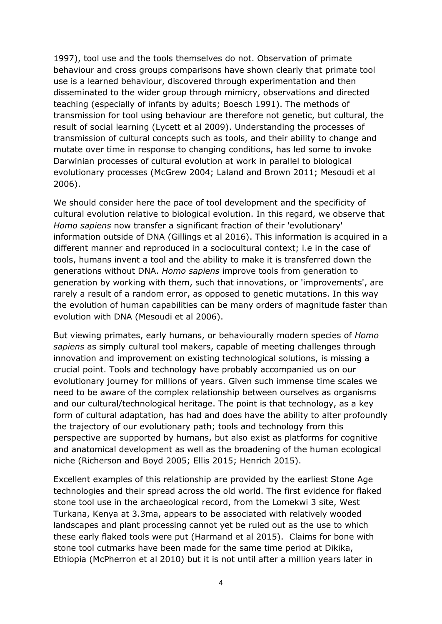1997), tool use and the tools themselves do not. Observation of primate behaviour and cross groups comparisons have shown clearly that primate tool use is a learned behaviour, discovered through experimentation and then disseminated to the wider group through mimicry, observations and directed teaching (especially of infants by adults; Boesch 1991). The methods of transmission for tool using behaviour are therefore not genetic, but cultural, the result of social learning (Lycett et al 2009). Understanding the processes of transmission of cultural concepts such as tools, and their ability to change and mutate over time in response to changing conditions, has led some to invoke Darwinian processes of cultural evolution at work in parallel to biological evolutionary processes (McGrew 2004; Laland and Brown 2011; Mesoudi et al 2006).

We should consider here the pace of tool development and the specificity of cultural evolution relative to biological evolution. In this regard, we observe that *Homo sapiens* now transfer a significant fraction of their 'evolutionary' information outside of DNA (Gillings et al 2016). This information is acquired in a different manner and reproduced in a sociocultural context; i.e in the case of tools, humans invent a tool and the ability to make it is transferred down the generations without DNA. *Homo sapiens* improve tools from generation to generation by working with them, such that innovations, or 'improvements', are rarely a result of a random error, as opposed to genetic mutations. In this way the evolution of human capabilities can be many orders of magnitude faster than evolution with DNA (Mesoudi et al 2006).

But viewing primates, early humans, or behaviourally modern species of *Homo sapiens* as simply cultural tool makers, capable of meeting challenges through innovation and improvement on existing technological solutions, is missing a crucial point. Tools and technology have probably accompanied us on our evolutionary journey for millions of years. Given such immense time scales we need to be aware of the complex relationship between ourselves as organisms and our cultural/technological heritage. The point is that technology, as a key form of cultural adaptation, has had and does have the ability to alter profoundly the trajectory of our evolutionary path; tools and technology from this perspective are supported by humans, but also exist as platforms for cognitive and anatomical development as well as the broadening of the human ecological niche (Richerson and Boyd 2005; Ellis 2015; Henrich 2015).

Excellent examples of this relationship are provided by the earliest Stone Age technologies and their spread across the old world. The first evidence for flaked stone tool use in the archaeological record, from the Lomekwi 3 site, West Turkana, Kenya at 3.3ma, appears to be associated with relatively wooded landscapes and plant processing cannot yet be ruled out as the use to which these early flaked tools were put (Harmand et al 2015). Claims for bone with stone tool cutmarks have been made for the same time period at Dikika, Ethiopia (McPherron et al 2010) but it is not until after a million years later in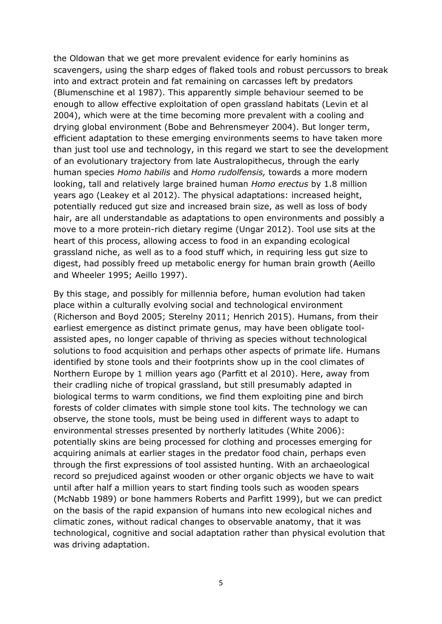the Oldowan that we get more prevalent evidence for early hominins as scavengers, using the sharp edges of flaked tools and robust percussors to break into and extract protein and fat remaining on carcasses left by predators (Blumenschine et al 1987). This apparently simple behaviour seemed to be enough to allow effective exploitation of open grassland habitats (Levin et al 2004), which were at the time becoming more prevalent with a cooling and drying global environment (Bobe and Behrensmeyer 2004). But longer term, efficient adaptation to these emerging environments seems to have taken more than just tool use and technology, in this regard we start to see the development of an evolutionary trajectory from late Australopithecus, through the early human species *Homo habilis* and *Homo rudolfensis,* towards a more modern looking, tall and relatively large brained human *Homo erectus* by 1.8 million years ago (Leakey et al 2012). The physical adaptations: increased height, potentially reduced gut size and increased brain size, as well as loss of body hair, are all understandable as adaptations to open environments and possibly a move to a more protein-rich dietary regime (Ungar 2012). Tool use sits at the heart of this process, allowing access to food in an expanding ecological grassland niche, as well as to a food stuff which, in requiring less gut size to digest, had possibly freed up metabolic energy for human brain growth (Aeillo and Wheeler 1995; Aeillo 1997).

By this stage, and possibly for millennia before, human evolution had taken place within a culturally evolving social and technological environment (Richerson and Boyd 2005; Sterelny 2011; Henrich 2015). Humans, from their earliest emergence as distinct primate genus, may have been obligate toolassisted apes, no longer capable of thriving as species without technological solutions to food acquisition and perhaps other aspects of primate life. Humans identified by stone tools and their footprints show up in the cool climates of Northern Europe by 1 million years ago (Parfitt et al 2010). Here, away from their cradling niche of tropical grassland, but still presumably adapted in biological terms to warm conditions, we find them exploiting pine and birch forests of colder climates with simple stone tool kits. The technology we can observe, the stone tools, must be being used in different ways to adapt to environmental stresses presented by northerly latitudes (White 2006): potentially skins are being processed for clothing and processes emerging for acquiring animals at earlier stages in the predator food chain, perhaps even through the first expressions of tool assisted hunting. With an archaeological record so prejudiced against wooden or other organic objects we have to wait until after half a million years to start finding tools such as wooden spears (McNabb 1989) or bone hammers Roberts and Parfitt 1999), but we can predict on the basis of the rapid expansion of humans into new ecological niches and climatic zones, without radical changes to observable anatomy, that it was technological, cognitive and social adaptation rather than physical evolution that was driving adaptation.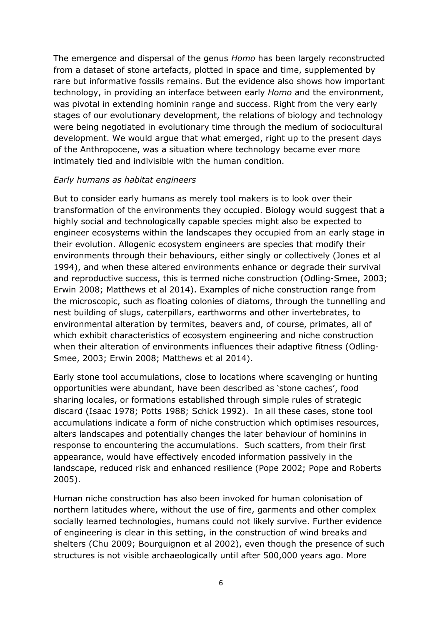The emergence and dispersal of the genus *Homo* has been largely reconstructed from a dataset of stone artefacts, plotted in space and time, supplemented by rare but informative fossils remains. But the evidence also shows how important technology, in providing an interface between early *Homo* and the environment, was pivotal in extending hominin range and success. Right from the very early stages of our evolutionary development, the relations of biology and technology were being negotiated in evolutionary time through the medium of sociocultural development. We would argue that what emerged, right up to the present days of the Anthropocene, was a situation where technology became ever more intimately tied and indivisible with the human condition.

#### *Early humans as habitat engineers*

But to consider early humans as merely tool makers is to look over their transformation of the environments they occupied. Biology would suggest that a highly social and technologically capable species might also be expected to engineer ecosystems within the landscapes they occupied from an early stage in their evolution. Allogenic ecosystem engineers are species that modify their environments through their behaviours, either singly or collectively (Jones et al 1994), and when these altered environments enhance or degrade their survival and reproductive success, this is termed niche construction (Odling-Smee, 2003; Erwin 2008; Matthews et al 2014). Examples of niche construction range from the microscopic, such as floating colonies of diatoms, through the tunnelling and nest building of slugs, caterpillars, earthworms and other invertebrates, to environmental alteration by termites, beavers and, of course, primates, all of which exhibit characteristics of ecosystem engineering and niche construction when their alteration of environments influences their adaptive fitness (Odling-Smee, 2003; Erwin 2008; Matthews et al 2014).

Early stone tool accumulations, close to locations where scavenging or hunting opportunities were abundant, have been described as 'stone caches', food sharing locales, or formations established through simple rules of strategic discard (Isaac 1978; Potts 1988; Schick 1992). In all these cases, stone tool accumulations indicate a form of niche construction which optimises resources, alters landscapes and potentially changes the later behaviour of hominins in response to encountering the accumulations. Such scatters, from their first appearance, would have effectively encoded information passively in the landscape, reduced risk and enhanced resilience (Pope 2002; Pope and Roberts 2005).

Human niche construction has also been invoked for human colonisation of northern latitudes where, without the use of fire, garments and other complex socially learned technologies, humans could not likely survive. Further evidence of engineering is clear in this setting, in the construction of wind breaks and shelters (Chu 2009; Bourguignon et al 2002), even though the presence of such structures is not visible archaeologically until after 500,000 years ago. More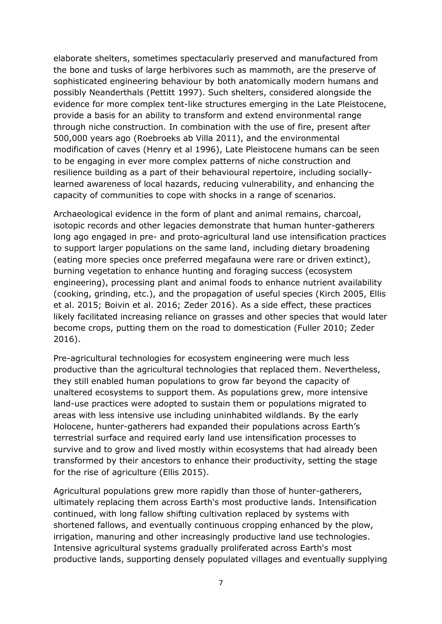elaborate shelters, sometimes spectacularly preserved and manufactured from the bone and tusks of large herbivores such as mammoth, are the preserve of sophisticated engineering behaviour by both anatomically modern humans and possibly Neanderthals (Pettitt 1997). Such shelters, considered alongside the evidence for more complex tent-like structures emerging in the Late Pleistocene, provide a basis for an ability to transform and extend environmental range through niche construction. In combination with the use of fire, present after 500,000 years ago (Roebroeks ab Villa 2011), and the environmental modification of caves (Henry et al 1996), Late Pleistocene humans can be seen to be engaging in ever more complex patterns of niche construction and resilience building as a part of their behavioural repertoire, including sociallylearned awareness of local hazards, reducing vulnerability, and enhancing the capacity of communities to cope with shocks in a range of scenarios.

Archaeological evidence in the form of plant and animal remains, charcoal, isotopic records and other legacies demonstrate that human hunter-gatherers long ago engaged in pre- and proto-agricultural land use intensification practices to support larger populations on the same land, including dietary broadening (eating more species once preferred megafauna were rare or driven extinct), burning vegetation to enhance hunting and foraging success (ecosystem engineering), processing plant and animal foods to enhance nutrient availability (cooking, grinding, etc.), and the propagation of useful species (Kirch 2005, Ellis et al. 2015; Boivin et al. 2016; Zeder 2016). As a side effect, these practices likely facilitated increasing reliance on grasses and other species that would later become crops, putting them on the road to domestication (Fuller 2010; Zeder 2016).

Pre-agricultural technologies for ecosystem engineering were much less productive than the agricultural technologies that replaced them. Nevertheless, they still enabled human populations to grow far beyond the capacity of unaltered ecosystems to support them. As populations grew, more intensive land-use practices were adopted to sustain them or populations migrated to areas with less intensive use including uninhabited wildlands. By the early Holocene, hunter-gatherers had expanded their populations across Earth's terrestrial surface and required early land use intensification processes to survive and to grow and lived mostly within ecosystems that had already been transformed by their ancestors to enhance their productivity, setting the stage for the rise of agriculture (Ellis 2015).

Agricultural populations grew more rapidly than those of hunter-gatherers, ultimately replacing them across Earth's most productive lands. Intensification continued, with long fallow shifting cultivation replaced by systems with shortened fallows, and eventually continuous cropping enhanced by the plow, irrigation, manuring and other increasingly productive land use technologies. Intensive agricultural systems gradually proliferated across Earth's most productive lands, supporting densely populated villages and eventually supplying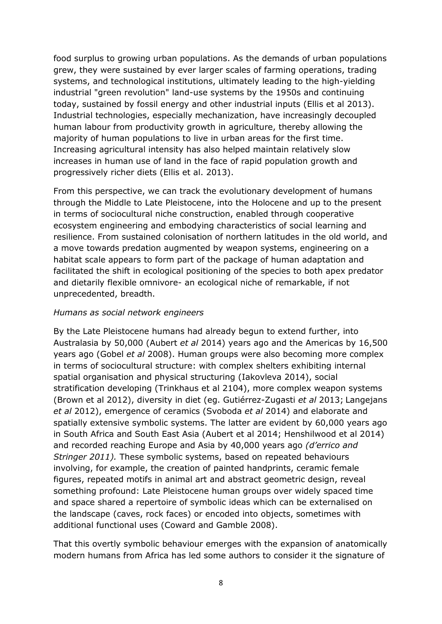food surplus to growing urban populations. As the demands of urban populations grew, they were sustained by ever larger scales of farming operations, trading systems, and technological institutions, ultimately leading to the high-yielding industrial "green revolution" land-use systems by the 1950s and continuing today, sustained by fossil energy and other industrial inputs (Ellis et al 2013). Industrial technologies, especially mechanization, have increasingly decoupled human labour from productivity growth in agriculture, thereby allowing the majority of human populations to live in urban areas for the first time. Increasing agricultural intensity has also helped maintain relatively slow increases in human use of land in the face of rapid population growth and progressively richer diets (Ellis et al. 2013).

From this perspective, we can track the evolutionary development of humans through the Middle to Late Pleistocene, into the Holocene and up to the present in terms of sociocultural niche construction, enabled through cooperative ecosystem engineering and embodying characteristics of social learning and resilience. From sustained colonisation of northern latitudes in the old world, and a move towards predation augmented by weapon systems, engineering on a habitat scale appears to form part of the package of human adaptation and facilitated the shift in ecological positioning of the species to both apex predator and dietarily flexible omnivore- an ecological niche of remarkable, if not unprecedented, breadth.

#### *Humans as social network engineers*

By the Late Pleistocene humans had already begun to extend further, into Australasia by 50,000 (Aubert *et al* 2014) years ago and the Americas by 16,500 years ago (Gobel *et al* 2008). Human groups were also becoming more complex in terms of sociocultural structure: with complex shelters exhibiting internal spatial organisation and physical structuring (Iakovleva 2014), social stratification developing (Trinkhaus et al 2104), more complex weapon systems (Brown et al 2012), diversity in diet (eg. Gutiérrez-Zugasti *et al* 2013; Langejans *et al* 2012), emergence of ceramics (Svoboda *et al* 2014) and elaborate and spatially extensive symbolic systems. The latter are evident by 60,000 years ago in South Africa and South East Asia (Aubert et al 2014; Henshilwood et al 2014) and recorded reaching Europe and Asia by 40,000 years ago *(d'errico and Stringer 2011).* These symbolic systems, based on repeated behaviours involving, for example, the creation of painted handprints, ceramic female figures, repeated motifs in animal art and abstract geometric design, reveal something profound: Late Pleistocene human groups over widely spaced time and space shared a repertoire of symbolic ideas which can be externalised on the landscape (caves, rock faces) or encoded into objects, sometimes with additional functional uses (Coward and Gamble 2008).

That this overtly symbolic behaviour emerges with the expansion of anatomically modern humans from Africa has led some authors to consider it the signature of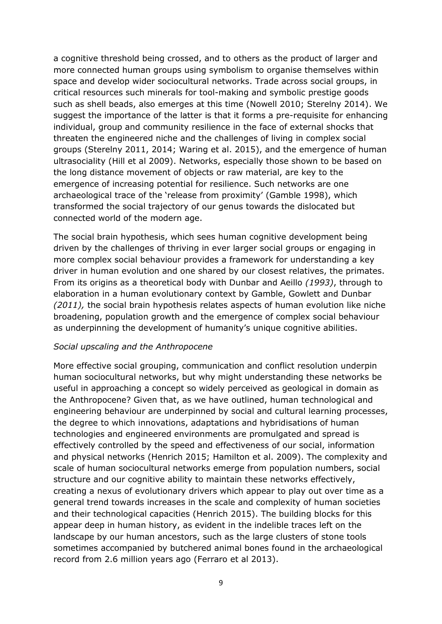a cognitive threshold being crossed, and to others as the product of larger and more connected human groups using symbolism to organise themselves within space and develop wider sociocultural networks. Trade across social groups, in critical resources such minerals for tool-making and symbolic prestige goods such as shell beads, also emerges at this time (Nowell 2010; Sterelny 2014). We suggest the importance of the latter is that it forms a pre-requisite for enhancing individual, group and community resilience in the face of external shocks that threaten the engineered niche and the challenges of living in complex social groups (Sterelny 2011, 2014; Waring et al. 2015), and the emergence of human ultrasociality (Hill et al 2009). Networks, especially those shown to be based on the long distance movement of objects or raw material, are key to the emergence of increasing potential for resilience. Such networks are one archaeological trace of the 'release from proximity' (Gamble 1998), which transformed the social trajectory of our genus towards the dislocated but connected world of the modern age.

The social brain hypothesis, which sees human cognitive development being driven by the challenges of thriving in ever larger social groups or engaging in more complex social behaviour provides a framework for understanding a key driver in human evolution and one shared by our closest relatives, the primates. From its origins as a theoretical body with Dunbar and Aeillo *(1993)*, through to elaboration in a human evolutionary context by Gamble, Gowlett and Dunbar *(2011),* the social brain hypothesis relates aspects of human evolution like niche broadening, population growth and the emergence of complex social behaviour as underpinning the development of humanity's unique cognitive abilities.

#### *Social upscaling and the Anthropocene*

More effective social grouping, communication and conflict resolution underpin human sociocultural networks, but why might understanding these networks be useful in approaching a concept so widely perceived as geological in domain as the Anthropocene? Given that, as we have outlined, human technological and engineering behaviour are underpinned by social and cultural learning processes, the degree to which innovations, adaptations and hybridisations of human technologies and engineered environments are promulgated and spread is effectively controlled by the speed and effectiveness of our social, information and physical networks (Henrich 2015; Hamilton et al. 2009). The complexity and scale of human sociocultural networks emerge from population numbers, social structure and our cognitive ability to maintain these networks effectively, creating a nexus of evolutionary drivers which appear to play out over time as a general trend towards increases in the scale and complexity of human societies and their technological capacities (Henrich 2015). The building blocks for this appear deep in human history, as evident in the indelible traces left on the landscape by our human ancestors, such as the large clusters of stone tools sometimes accompanied by butchered animal bones found in the archaeological record from 2.6 million years ago (Ferraro et al 2013).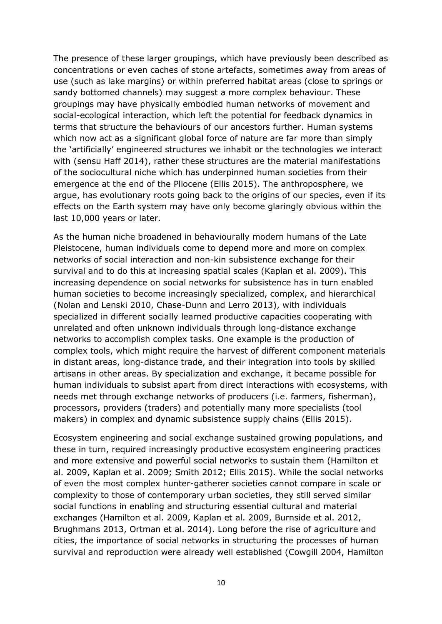The presence of these larger groupings, which have previously been described as concentrations or even caches of stone artefacts, sometimes away from areas of use (such as lake margins) or within preferred habitat areas (close to springs or sandy bottomed channels) may suggest a more complex behaviour. These groupings may have physically embodied human networks of movement and social-ecological interaction, which left the potential for feedback dynamics in terms that structure the behaviours of our ancestors further. Human systems which now act as a significant global force of nature are far more than simply the 'artificially' engineered structures we inhabit or the technologies we interact with (sensu Haff 2014), rather these structures are the material manifestations of the sociocultural niche which has underpinned human societies from their emergence at the end of the Pliocene (Ellis 2015). The anthroposphere, we argue, has evolutionary roots going back to the origins of our species, even if its effects on the Earth system may have only become glaringly obvious within the last 10,000 years or later.

As the human niche broadened in behaviourally modern humans of the Late Pleistocene, human individuals come to depend more and more on complex networks of social interaction and non-kin subsistence exchange for their survival and to do this at increasing spatial scales (Kaplan et al. 2009). This increasing dependence on social networks for subsistence has in turn enabled human societies to become increasingly specialized, complex, and hierarchical (Nolan and Lenski 2010, Chase-Dunn and Lerro 2013), with individuals specialized in different socially learned productive capacities cooperating with unrelated and often unknown individuals through long-distance exchange networks to accomplish complex tasks. One example is the production of complex tools, which might require the harvest of different component materials in distant areas, long-distance trade, and their integration into tools by skilled artisans in other areas. By specialization and exchange, it became possible for human individuals to subsist apart from direct interactions with ecosystems, with needs met through exchange networks of producers (i.e. farmers, fisherman), processors, providers (traders) and potentially many more specialists (tool makers) in complex and dynamic subsistence supply chains (Ellis 2015).

Ecosystem engineering and social exchange sustained growing populations, and these in turn, required increasingly productive ecosystem engineering practices and more extensive and powerful social networks to sustain them (Hamilton et al. 2009, Kaplan et al. 2009; Smith 2012; Ellis 2015). While the social networks of even the most complex hunter-gatherer societies cannot compare in scale or complexity to those of contemporary urban societies, they still served similar social functions in enabling and structuring essential cultural and material exchanges (Hamilton et al. 2009, Kaplan et al. 2009, Burnside et al. 2012, Brughmans 2013, Ortman et al. 2014). Long before the rise of agriculture and cities, the importance of social networks in structuring the processes of human survival and reproduction were already well established (Cowgill 2004, Hamilton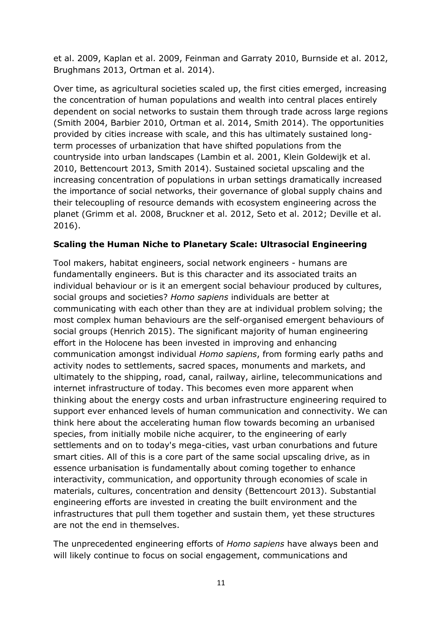et al. 2009, Kaplan et al. 2009, Feinman and Garraty 2010, Burnside et al. 2012, Brughmans 2013, Ortman et al. 2014).

Over time, as agricultural societies scaled up, the first cities emerged, increasing the concentration of human populations and wealth into central places entirely dependent on social networks to sustain them through trade across large regions (Smith 2004, Barbier 2010, Ortman et al. 2014, Smith 2014). The opportunities provided by cities increase with scale, and this has ultimately sustained longterm processes of urbanization that have shifted populations from the countryside into urban landscapes (Lambin et al. 2001, Klein Goldewijk et al. 2010, Bettencourt 2013, Smith 2014). Sustained societal upscaling and the increasing concentration of populations in urban settings dramatically increased the importance of social networks, their governance of global supply chains and their telecoupling of resource demands with ecosystem engineering across the planet (Grimm et al. 2008, Bruckner et al. 2012, Seto et al. 2012; Deville et al. 2016).

# **Scaling the Human Niche to Planetary Scale: Ultrasocial Engineering**

Tool makers, habitat engineers, social network engineers - humans are fundamentally engineers. But is this character and its associated traits an individual behaviour or is it an emergent social behaviour produced by cultures, social groups and societies? *Homo sapiens* individuals are better at communicating with each other than they are at individual problem solving; the most complex human behaviours are the self-organised emergent behaviours of social groups (Henrich 2015). The significant majority of human engineering effort in the Holocene has been invested in improving and enhancing communication amongst individual *Homo sapiens*, from forming early paths and activity nodes to settlements, sacred spaces, monuments and markets, and ultimately to the shipping, road, canal, railway, airline, telecommunications and internet infrastructure of today. This becomes even more apparent when thinking about the energy costs and urban infrastructure engineering required to support ever enhanced levels of human communication and connectivity. We can think here about the accelerating human flow towards becoming an urbanised species, from initially mobile niche acquirer, to the engineering of early settlements and on to today's mega-cities, vast urban conurbations and future smart cities. All of this is a core part of the same social upscaling drive, as in essence urbanisation is fundamentally about coming together to enhance interactivity, communication, and opportunity through economies of scale in materials, cultures, concentration and density (Bettencourt 2013). Substantial engineering efforts are invested in creating the built environment and the infrastructures that pull them together and sustain them, yet these structures are not the end in themselves.

The unprecedented engineering efforts of *Homo sapiens* have always been and will likely continue to focus on social engagement, communications and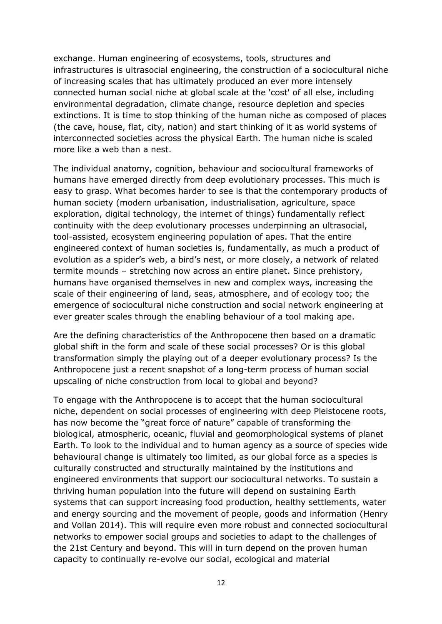exchange. Human engineering of ecosystems, tools, structures and infrastructures is ultrasocial engineering, the construction of a sociocultural niche of increasing scales that has ultimately produced an ever more intensely connected human social niche at global scale at the 'cost' of all else, including environmental degradation, climate change, resource depletion and species extinctions. It is time to stop thinking of the human niche as composed of places (the cave, house, flat, city, nation) and start thinking of it as world systems of interconnected societies across the physical Earth. The human niche is scaled more like a web than a nest.

The individual anatomy, cognition, behaviour and sociocultural frameworks of humans have emerged directly from deep evolutionary processes. This much is easy to grasp. What becomes harder to see is that the contemporary products of human society (modern urbanisation, industrialisation, agriculture, space exploration, digital technology, the internet of things) fundamentally reflect continuity with the deep evolutionary processes underpinning an ultrasocial, tool-assisted, ecosystem engineering population of apes. That the entire engineered context of human societies is, fundamentally, as much a product of evolution as a spider's web, a bird's nest, or more closely, a network of related termite mounds – stretching now across an entire planet. Since prehistory, humans have organised themselves in new and complex ways, increasing the scale of their engineering of land, seas, atmosphere, and of ecology too; the emergence of sociocultural niche construction and social network engineering at ever greater scales through the enabling behaviour of a tool making ape.

Are the defining characteristics of the Anthropocene then based on a dramatic global shift in the form and scale of these social processes? Or is this global transformation simply the playing out of a deeper evolutionary process? Is the Anthropocene just a recent snapshot of a long-term process of human social upscaling of niche construction from local to global and beyond?

To engage with the Anthropocene is to accept that the human sociocultural niche, dependent on social processes of engineering with deep Pleistocene roots, has now become the "great force of nature" capable of transforming the biological, atmospheric, oceanic, fluvial and geomorphological systems of planet Earth. To look to the individual and to human agency as a source of species wide behavioural change is ultimately too limited, as our global force as a species is culturally constructed and structurally maintained by the institutions and engineered environments that support our sociocultural networks. To sustain a thriving human population into the future will depend on sustaining Earth systems that can support increasing food production, healthy settlements, water and energy sourcing and the movement of people, goods and information (Henry and Vollan 2014). This will require even more robust and connected sociocultural networks to empower social groups and societies to adapt to the challenges of the 21st Century and beyond. This will in turn depend on the proven human capacity to continually re-evolve our social, ecological and material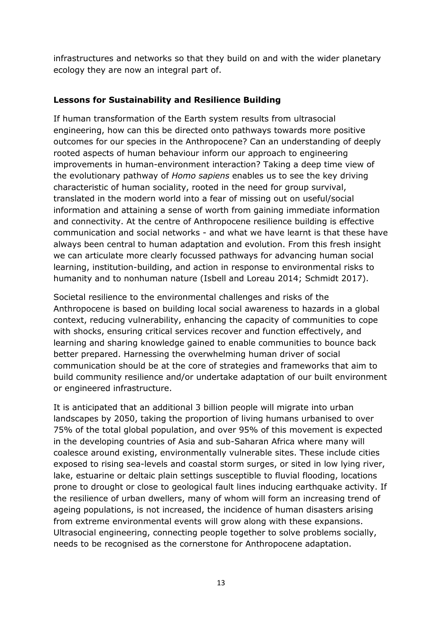infrastructures and networks so that they build on and with the wider planetary ecology they are now an integral part of.

# **Lessons for Sustainability and Resilience Building**

If human transformation of the Earth system results from ultrasocial engineering, how can this be directed onto pathways towards more positive outcomes for our species in the Anthropocene? Can an understanding of deeply rooted aspects of human behaviour inform our approach to engineering improvements in human-environment interaction? Taking a deep time view of the evolutionary pathway of *Homo sapiens* enables us to see the key driving characteristic of human sociality, rooted in the need for group survival, translated in the modern world into a fear of missing out on useful/social information and attaining a sense of worth from gaining immediate information and connectivity. At the centre of Anthropocene resilience building is effective communication and social networks - and what we have learnt is that these have always been central to human adaptation and evolution. From this fresh insight we can articulate more clearly focussed pathways for advancing human social learning, institution-building, and action in response to environmental risks to humanity and to nonhuman nature (Isbell and Loreau 2014; Schmidt 2017).

Societal resilience to the environmental challenges and risks of the Anthropocene is based on building local social awareness to hazards in a global context, reducing vulnerability, enhancing the capacity of communities to cope with shocks, ensuring critical services recover and function effectively, and learning and sharing knowledge gained to enable communities to bounce back better prepared. Harnessing the overwhelming human driver of social communication should be at the core of strategies and frameworks that aim to build community resilience and/or undertake adaptation of our built environment or engineered infrastructure.

It is anticipated that an additional 3 billion people will migrate into urban landscapes by 2050, taking the proportion of living humans urbanised to over 75% of the total global population, and over 95% of this movement is expected in the developing countries of Asia and sub-Saharan Africa where many will coalesce around existing, environmentally vulnerable sites. These include cities exposed to rising sea-levels and coastal storm surges, or sited in low lying river, lake, estuarine or deltaic plain settings susceptible to fluvial flooding, locations prone to drought or close to geological fault lines inducing earthquake activity. If the resilience of urban dwellers, many of whom will form an increasing trend of ageing populations, is not increased, the incidence of human disasters arising from extreme environmental events will grow along with these expansions. Ultrasocial engineering, connecting people together to solve problems socially, needs to be recognised as the cornerstone for Anthropocene adaptation.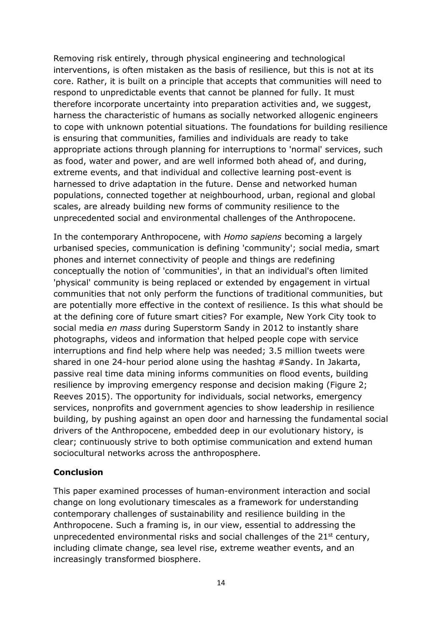Removing risk entirely, through physical engineering and technological interventions, is often mistaken as the basis of resilience, but this is not at its core. Rather, it is built on a principle that accepts that communities will need to respond to unpredictable events that cannot be planned for fully. It must therefore incorporate uncertainty into preparation activities and, we suggest, harness the characteristic of humans as socially networked allogenic engineers to cope with unknown potential situations. The foundations for building resilience is ensuring that communities, families and individuals are ready to take appropriate actions through planning for interruptions to 'normal' services, such as food, water and power, and are well informed both ahead of, and during, extreme events, and that individual and collective learning post-event is harnessed to drive adaptation in the future. Dense and networked human populations, connected together at neighbourhood, urban, regional and global scales, are already building new forms of community resilience to the unprecedented social and environmental challenges of the Anthropocene.

In the contemporary Anthropocene, with *Homo sapiens* becoming a largely urbanised species, communication is defining 'community'; social media, smart phones and internet connectivity of people and things are redefining conceptually the notion of 'communities', in that an individual's often limited 'physical' community is being replaced or extended by engagement in virtual communities that not only perform the functions of traditional communities, but are potentially more effective in the context of resilience. Is this what should be at the defining core of future smart cities? For example, New York City took to social media *en mass* during Superstorm Sandy in 2012 to instantly share photographs, videos and information that helped people cope with service interruptions and find help where help was needed; 3.5 million tweets were shared in one 24-hour period alone using the hashtag #Sandy. In Jakarta, passive real time data mining informs communities on flood events, building resilience by improving emergency response and decision making (Figure 2; Reeves 2015). The opportunity for individuals, social networks, emergency services, nonprofits and government agencies to show leadership in resilience building, by pushing against an open door and harnessing the fundamental social drivers of the Anthropocene, embedded deep in our evolutionary history, is clear; continuously strive to both optimise communication and extend human sociocultural networks across the anthroposphere.

# **Conclusion**

This paper examined processes of human-environment interaction and social change on long evolutionary timescales as a framework for understanding contemporary challenges of sustainability and resilience building in the Anthropocene. Such a framing is, in our view, essential to addressing the unprecedented environmental risks and social challenges of the 21<sup>st</sup> century, including climate change, sea level rise, extreme weather events, and an increasingly transformed biosphere.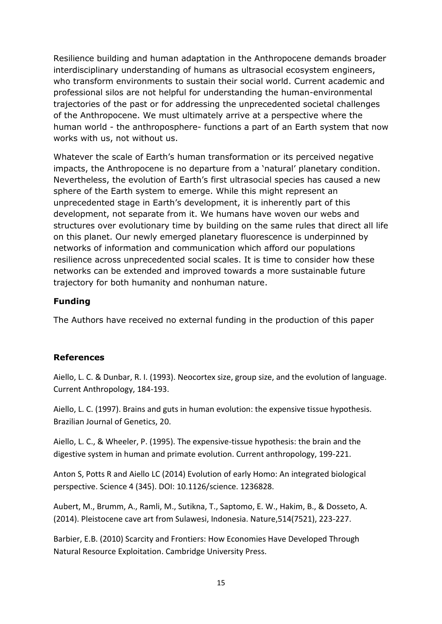Resilience building and human adaptation in the Anthropocene demands broader interdisciplinary understanding of humans as ultrasocial ecosystem engineers, who transform environments to sustain their social world. Current academic and professional silos are not helpful for understanding the human-environmental trajectories of the past or for addressing the unprecedented societal challenges of the Anthropocene. We must ultimately arrive at a perspective where the human world - the anthroposphere- functions a part of an Earth system that now works with us, not without us.

Whatever the scale of Earth's human transformation or its perceived negative impacts, the Anthropocene is no departure from a 'natural' planetary condition. Nevertheless, the evolution of Earth's first ultrasocial species has caused a new sphere of the Earth system to emerge. While this might represent an unprecedented stage in Earth's development, it is inherently part of this development, not separate from it. We humans have woven our webs and structures over evolutionary time by building on the same rules that direct all life on this planet. Our newly emerged planetary fluorescence is underpinned by networks of information and communication which afford our populations resilience across unprecedented social scales. It is time to consider how these networks can be extended and improved towards a more sustainable future trajectory for both humanity and nonhuman nature.

## **Funding**

The Authors have received no external funding in the production of this paper

#### **References**

Aiello, L. C. & Dunbar, R. I. (1993). Neocortex size, group size, and the evolution of language. Current Anthropology, 184-193.

Aiello, L. C. (1997). Brains and guts in human evolution: the expensive tissue hypothesis. Brazilian Journal of Genetics, 20.

Aiello, L. C., & Wheeler, P. (1995). The expensive-tissue hypothesis: the brain and the digestive system in human and primate evolution. Current anthropology, 199-221.

Anton S, Potts R and Aiello LC (2014) Evolution of early Homo: An integrated biological perspective. Science 4 (345). DOI: 10.1126/science. 1236828.

Aubert, M., Brumm, A., Ramli, M., Sutikna, T., Saptomo, E. W., Hakim, B., & Dosseto, A. (2014). Pleistocene cave art from Sulawesi, Indonesia. Nature,514(7521), 223-227.

Barbier, E.B. (2010) Scarcity and Frontiers: How Economies Have Developed Through Natural Resource Exploitation. Cambridge University Press.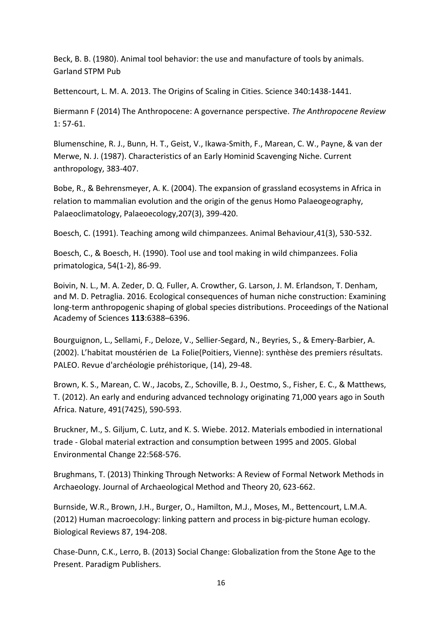Beck, B. B. (1980). Animal tool behavior: the use and manufacture of tools by animals. Garland STPM Pub

Bettencourt, L. M. A. 2013. The Origins of Scaling in Cities. Science 340:1438-1441.

Biermann F (2014) The Anthropocene: A governance perspective. *The Anthropocene Review* 1: 57-61.

Blumenschine, R. J., Bunn, H. T., Geist, V., Ikawa-Smith, F., Marean, C. W., Payne, & van der Merwe, N. J. (1987). Characteristics of an Early Hominid Scavenging Niche. Current anthropology, 383-407.

Bobe, R., & Behrensmeyer, A. K. (2004). The expansion of grassland ecosystems in Africa in relation to mammalian evolution and the origin of the genus Homo Palaeogeography, Palaeoclimatology, Palaeoecology,207(3), 399-420.

Boesch, C. (1991). Teaching among wild chimpanzees. Animal Behaviour,41(3), 530-532.

Boesch, C., & Boesch, H. (1990). Tool use and tool making in wild chimpanzees. Folia primatologica, 54(1-2), 86-99.

Boivin, N. L., M. A. Zeder, D. Q. Fuller, A. Crowther, G. Larson, J. M. Erlandson, T. Denham, and M. D. Petraglia. 2016. Ecological consequences of human niche construction: Examining long-term anthropogenic shaping of global species distributions. Proceedings of the National Academy of Sciences **113**:6388–6396.

Bourguignon, L., Sellami, F., Deloze, V., Sellier-Segard, N., Beyries, S., & Emery-Barbier, A. (2002). L'habitat moustérien de La Folie(Poitiers, Vienne): synthèse des premiers résultats. PALEO. Revue d'archéologie préhistorique, (14), 29-48.

Brown, K. S., Marean, C. W., Jacobs, Z., Schoville, B. J., Oestmo, S., Fisher, E. C., & Matthews, T. (2012). An early and enduring advanced technology originating 71,000 years ago in South Africa. Nature, 491(7425), 590-593.

Bruckner, M., S. Giljum, C. Lutz, and K. S. Wiebe. 2012. Materials embodied in international trade - Global material extraction and consumption between 1995 and 2005. Global Environmental Change 22:568-576.

Brughmans, T. (2013) Thinking Through Networks: A Review of Formal Network Methods in Archaeology. Journal of Archaeological Method and Theory 20, 623-662.

Burnside, W.R., Brown, J.H., Burger, O., Hamilton, M.J., Moses, M., Bettencourt, L.M.A. (2012) Human macroecology: linking pattern and process in big-picture human ecology. Biological Reviews 87, 194-208.

Chase-Dunn, C.K., Lerro, B. (2013) Social Change: Globalization from the Stone Age to the Present. Paradigm Publishers.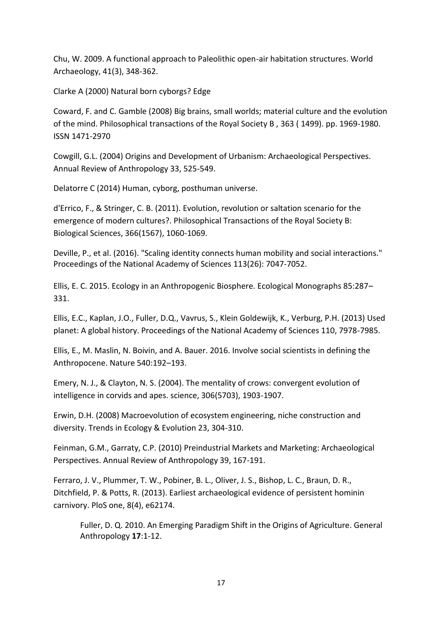Chu, W. 2009. A functional approach to Paleolithic open-air habitation structures. World Archaeology, 41(3), 348-362.

Clarke A (2000) Natural born cyborgs? Edge

Coward, F. and C. Gamble (2008) Big brains, small worlds; material culture and the evolution of the mind. Philosophical transactions of the Royal Society B , 363 ( 1499). pp. 1969-1980. ISSN 1471-2970

Cowgill, G.L. (2004) Origins and Development of Urbanism: Archaeological Perspectives. Annual Review of Anthropology 33, 525-549.

Delatorre C (2014) Human, cyborg, posthuman universe.

d'Errico, F., & Stringer, C. B. (2011). Evolution, revolution or saltation scenario for the emergence of modern cultures?. Philosophical Transactions of the Royal Society B: Biological Sciences, 366(1567), 1060-1069.

Deville, P., et al. (2016). "Scaling identity connects human mobility and social interactions." Proceedings of the National Academy of Sciences 113(26): 7047-7052.

Ellis, E. C. 2015. Ecology in an Anthropogenic Biosphere. Ecological Monographs 85:287– 331.

Ellis, E.C., Kaplan, J.O., Fuller, D.Q., Vavrus, S., Klein Goldewijk, K., Verburg, P.H. (2013) Used planet: A global history. Proceedings of the National Academy of Sciences 110, 7978-7985.

Ellis, E., M. Maslin, N. Boivin, and A. Bauer. 2016. Involve social scientists in defining the Anthropocene. Nature 540:192–193.

Emery, N. J., & Clayton, N. S. (2004). The mentality of crows: convergent evolution of intelligence in corvids and apes. science, 306(5703), 1903-1907.

Erwin, D.H. (2008) Macroevolution of ecosystem engineering, niche construction and diversity. Trends in Ecology & Evolution 23, 304-310.

Feinman, G.M., Garraty, C.P. (2010) Preindustrial Markets and Marketing: Archaeological Perspectives. Annual Review of Anthropology 39, 167-191.

Ferraro, J. V., Plummer, T. W., Pobiner, B. L., Oliver, J. S., Bishop, L. C., Braun, D. R., Ditchfield, P. & Potts, R. (2013). Earliest archaeological evidence of persistent hominin carnivory. PloS one, 8(4), e62174.

Fuller, D. Q. 2010. An Emerging Paradigm Shift in the Origins of Agriculture. General Anthropology **17**:1-12.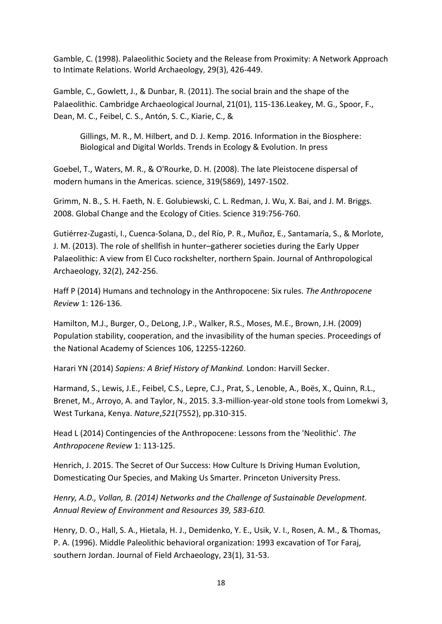Gamble, C. (1998). Palaeolithic Society and the Release from Proximity: A Network Approach to Intimate Relations. World Archaeology, 29(3), 426-449.

Gamble, C., Gowlett, J., & Dunbar, R. (2011). The social brain and the shape of the Palaeolithic. Cambridge Archaeological Journal, 21(01), 115-136.Leakey, M. G., Spoor, F., Dean, M. C., Feibel, C. S., Antón, S. C., Kiarie, C., &

Gillings, M. R., M. Hilbert, and D. J. Kemp. 2016. Information in the Biosphere: Biological and Digital Worlds. Trends in Ecology & Evolution. In press

Goebel, T., Waters, M. R., & O'Rourke, D. H. (2008). The late Pleistocene dispersal of modern humans in the Americas. science, 319(5869), 1497-1502.

Grimm, N. B., S. H. Faeth, N. E. Golubiewski, C. L. Redman, J. Wu, X. Bai, and J. M. Briggs. 2008. Global Change and the Ecology of Cities. Science 319:756-760.

Gutiérrez-Zugasti, I., Cuenca-Solana, D., del Río, P. R., Muñoz, E., Santamaría, S., & Morlote, J. M. (2013). The role of shellfish in hunter–gatherer societies during the Early Upper Palaeolithic: A view from El Cuco rockshelter, northern Spain. Journal of Anthropological Archaeology, 32(2), 242-256.

Haff P (2014) Humans and technology in the Anthropocene: Six rules. *The Anthropocene Review* 1: 126-136.

Hamilton, M.J., Burger, O., DeLong, J.P., Walker, R.S., Moses, M.E., Brown, J.H. (2009) Population stability, cooperation, and the invasibility of the human species. Proceedings of the National Academy of Sciences 106, 12255-12260.

Harari YN (2014) *Sapiens: A Brief History of Mankind.* London: Harvill Secker.

Harmand, S., Lewis, J.E., Feibel, C.S., Lepre, C.J., Prat, S., Lenoble, A., Boës, X., Quinn, R.L., Brenet, M., Arroyo, A. and Taylor, N., 2015. 3.3-million-year-old stone tools from Lomekwi 3, West Turkana, Kenya. *Nature*,*521*(7552), pp.310-315.

Head L (2014) Contingencies of the Anthropocene: Lessons from the 'Neolithic'. *The Anthropocene Review* 1: 113-125.

Henrich, J. 2015. The Secret of Our Success: How Culture Is Driving Human Evolution, Domesticating Our Species, and Making Us Smarter. Princeton University Press.

*Henry, A.D., Vollan, B. (2014) Networks and the Challenge of Sustainable Development. Annual Review of Environment and Resources 39, 583-610.*

Henry, D. O., Hall, S. A., Hietala, H. J., Demidenko, Y. E., Usik, V. I., Rosen, A. M., & Thomas, P. A. (1996). Middle Paleolithic behavioral organization: 1993 excavation of Tor Faraj, southern Jordan. Journal of Field Archaeology, 23(1), 31-53.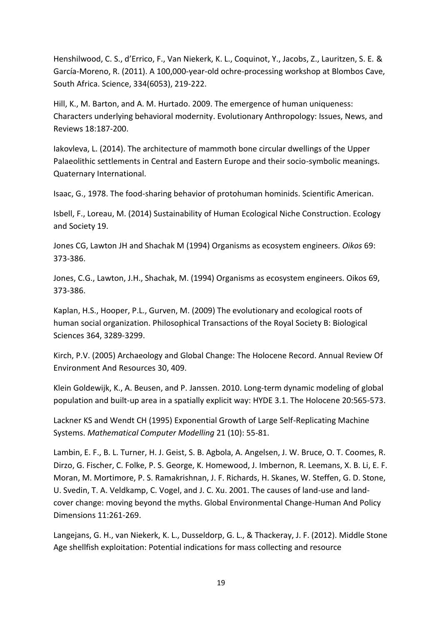Henshilwood, C. S., d'Errico, F., Van Niekerk, K. L., Coquinot, Y., Jacobs, Z., Lauritzen, S. E. & García-Moreno, R. (2011). A 100,000-year-old ochre-processing workshop at Blombos Cave, South Africa. Science, 334(6053), 219-222.

Hill, K., M. Barton, and A. M. Hurtado. 2009. The emergence of human uniqueness: Characters underlying behavioral modernity. Evolutionary Anthropology: Issues, News, and Reviews 18:187-200.

Iakovleva, L. (2014). The architecture of mammoth bone circular dwellings of the Upper Palaeolithic settlements in Central and Eastern Europe and their socio-symbolic meanings. Quaternary International.

Isaac, G., 1978. The food-sharing behavior of protohuman hominids. Scientific American.

Isbell, F., Loreau, M. (2014) Sustainability of Human Ecological Niche Construction. Ecology and Society 19.

Jones CG, Lawton JH and Shachak M (1994) Organisms as ecosystem engineers. *Oikos* 69: 373-386.

Jones, C.G., Lawton, J.H., Shachak, M. (1994) Organisms as ecosystem engineers. Oikos 69, 373-386.

Kaplan, H.S., Hooper, P.L., Gurven, M. (2009) The evolutionary and ecological roots of human social organization. Philosophical Transactions of the Royal Society B: Biological Sciences 364, 3289-3299.

Kirch, P.V. (2005) Archaeology and Global Change: The Holocene Record. Annual Review Of Environment And Resources 30, 409.

Klein Goldewijk, K., A. Beusen, and P. Janssen. 2010. Long-term dynamic modeling of global population and built-up area in a spatially explicit way: HYDE 3.1. The Holocene 20:565-573.

Lackner KS and Wendt CH (1995) Exponential Growth of Large Self-Replicating Machine Systems. *Mathematical Computer Modelling* 21 (10): 55-81.

Lambin, E. F., B. L. Turner, H. J. Geist, S. B. Agbola, A. Angelsen, J. W. Bruce, O. T. Coomes, R. Dirzo, G. Fischer, C. Folke, P. S. George, K. Homewood, J. Imbernon, R. Leemans, X. B. Li, E. F. Moran, M. Mortimore, P. S. Ramakrishnan, J. F. Richards, H. Skanes, W. Steffen, G. D. Stone, U. Svedin, T. A. Veldkamp, C. Vogel, and J. C. Xu. 2001. The causes of land-use and landcover change: moving beyond the myths. Global Environmental Change-Human And Policy Dimensions 11:261-269.

Langejans, G. H., van Niekerk, K. L., Dusseldorp, G. L., & Thackeray, J. F. (2012). Middle Stone Age shellfish exploitation: Potential indications for mass collecting and resource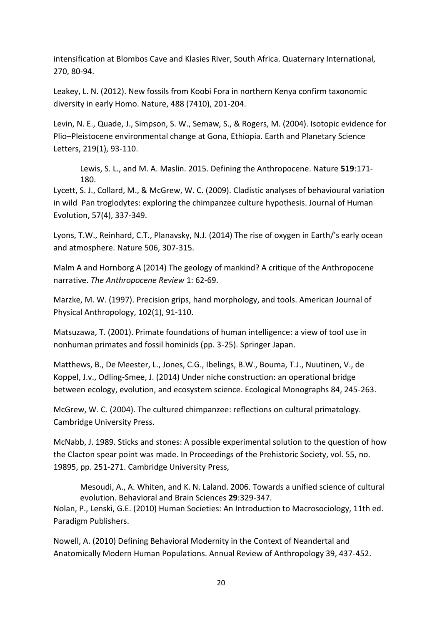intensification at Blombos Cave and Klasies River, South Africa. Quaternary International, 270, 80-94.

Leakey, L. N. (2012). New fossils from Koobi Fora in northern Kenya confirm taxonomic diversity in early Homo. Nature, 488 (7410), 201-204.

Levin, N. E., Quade, J., Simpson, S. W., Semaw, S., & Rogers, M. (2004). Isotopic evidence for Plio–Pleistocene environmental change at Gona, Ethiopia. Earth and Planetary Science Letters, 219(1), 93-110.

Lewis, S. L., and M. A. Maslin. 2015. Defining the Anthropocene. Nature **519**:171- 180.

Lycett, S. J., Collard, M., & McGrew, W. C. (2009). Cladistic analyses of behavioural variation in wild Pan troglodytes: exploring the chimpanzee culture hypothesis. Journal of Human Evolution, 57(4), 337-349.

Lyons, T.W., Reinhard, C.T., Planavsky, N.J. (2014) The rise of oxygen in Earth/'s early ocean and atmosphere. Nature 506, 307-315.

Malm A and Hornborg A (2014) The geology of mankind? A critique of the Anthropocene narrative. *The Anthropocene Review* 1: 62-69.

Marzke, M. W. (1997). Precision grips, hand morphology, and tools. American Journal of Physical Anthropology, 102(1), 91-110.

Matsuzawa, T. (2001). Primate foundations of human intelligence: a view of tool use in nonhuman primates and fossil hominids (pp. 3-25). Springer Japan.

Matthews, B., De Meester, L., Jones, C.G., Ibelings, B.W., Bouma, T.J., Nuutinen, V., de Koppel, J.v., Odling-Smee, J. (2014) Under niche construction: an operational bridge between ecology, evolution, and ecosystem science. Ecological Monographs 84, 245-263.

McGrew, W. C. (2004). The cultured chimpanzee: reflections on cultural primatology. Cambridge University Press.

McNabb, J. 1989. Sticks and stones: A possible experimental solution to the question of how the Clacton spear point was made. In Proceedings of the Prehistoric Society, vol. 55, no. 19895, pp. 251-271. Cambridge University Press,

Mesoudi, A., A. Whiten, and K. N. Laland. 2006. Towards a unified science of cultural evolution. Behavioral and Brain Sciences **29**:329-347.

Nolan, P., Lenski, G.E. (2010) Human Societies: An Introduction to Macrosociology, 11th ed. Paradigm Publishers.

Nowell, A. (2010) Defining Behavioral Modernity in the Context of Neandertal and Anatomically Modern Human Populations. Annual Review of Anthropology 39, 437-452.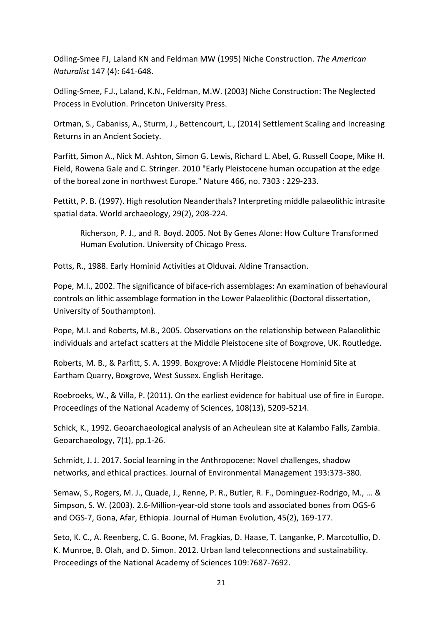Odling-Smee FJ, Laland KN and Feldman MW (1995) Niche Construction. *The American Naturalist* 147 (4): 641-648.

Odling-Smee, F.J., Laland, K.N., Feldman, M.W. (2003) Niche Construction: The Neglected Process in Evolution. Princeton University Press.

Ortman, S., Cabaniss, A., Sturm, J., Bettencourt, L., (2014) Settlement Scaling and Increasing Returns in an Ancient Society.

Parfitt, Simon A., Nick M. Ashton, Simon G. Lewis, Richard L. Abel, G. Russell Coope, Mike H. Field, Rowena Gale and C. Stringer. 2010 "Early Pleistocene human occupation at the edge of the boreal zone in northwest Europe." Nature 466, no. 7303 : 229-233.

Pettitt, P. B. (1997). High resolution Neanderthals? Interpreting middle palaeolithic intrasite spatial data. World archaeology, 29(2), 208-224.

Richerson, P. J., and R. Boyd. 2005. Not By Genes Alone: How Culture Transformed Human Evolution. University of Chicago Press.

Potts, R., 1988. Early Hominid Activities at Olduvai. Aldine Transaction.

Pope, M.I., 2002. The significance of biface-rich assemblages: An examination of behavioural controls on lithic assemblage formation in the Lower Palaeolithic (Doctoral dissertation, University of Southampton).

Pope, M.I. and Roberts, M.B., 2005. Observations on the relationship between Palaeolithic individuals and artefact scatters at the Middle Pleistocene site of Boxgrove, UK. Routledge.

Roberts, M. B., & Parfitt, S. A. 1999. Boxgrove: A Middle Pleistocene Hominid Site at Eartham Quarry, Boxgrove, West Sussex. English Heritage.

Roebroeks, W., & Villa, P. (2011). On the earliest evidence for habitual use of fire in Europe. Proceedings of the National Academy of Sciences, 108(13), 5209-5214.

Schick, K., 1992. Geoarchaeological analysis of an Acheulean site at Kalambo Falls, Zambia. Geoarchaeology, 7(1), pp.1-26.

Schmidt, J. J. 2017. Social learning in the Anthropocene: Novel challenges, shadow networks, and ethical practices. Journal of Environmental Management 193:373-380.

Semaw, S., Rogers, M. J., Quade, J., Renne, P. R., Butler, R. F., Dominguez-Rodrigo, M., ... & Simpson, S. W. (2003). 2.6-Million-year-old stone tools and associated bones from OGS-6 and OGS-7, Gona, Afar, Ethiopia. Journal of Human Evolution, 45(2), 169-177.

Seto, K. C., A. Reenberg, C. G. Boone, M. Fragkias, D. Haase, T. Langanke, P. Marcotullio, D. K. Munroe, B. Olah, and D. Simon. 2012. Urban land teleconnections and sustainability. Proceedings of the National Academy of Sciences 109:7687-7692.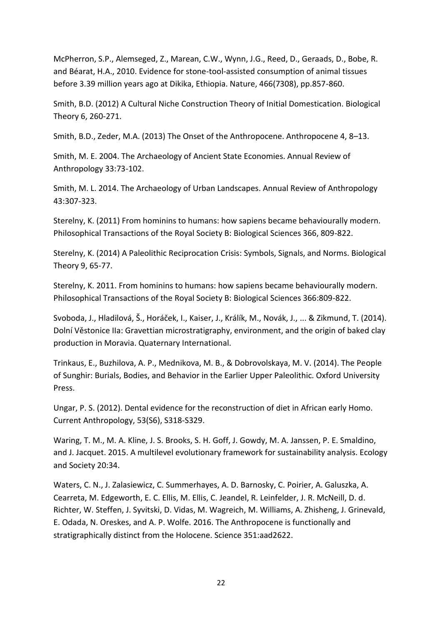McPherron, S.P., Alemseged, Z., Marean, C.W., Wynn, J.G., Reed, D., Geraads, D., Bobe, R. and Béarat, H.A., 2010. Evidence for stone-tool-assisted consumption of animal tissues before 3.39 million years ago at Dikika, Ethiopia. Nature, 466(7308), pp.857-860.

Smith, B.D. (2012) A Cultural Niche Construction Theory of Initial Domestication. Biological Theory 6, 260-271.

Smith, B.D., Zeder, M.A. (2013) The Onset of the Anthropocene. Anthropocene 4, 8–13.

Smith, M. E. 2004. The Archaeology of Ancient State Economies. Annual Review of Anthropology 33:73-102.

Smith, M. L. 2014. The Archaeology of Urban Landscapes. Annual Review of Anthropology 43:307-323.

Sterelny, K. (2011) From hominins to humans: how sapiens became behaviourally modern. Philosophical Transactions of the Royal Society B: Biological Sciences 366, 809-822.

Sterelny, K. (2014) A Paleolithic Reciprocation Crisis: Symbols, Signals, and Norms. Biological Theory 9, 65-77.

Sterelny, K. 2011. From hominins to humans: how sapiens became behaviourally modern. Philosophical Transactions of the Royal Society B: Biological Sciences 366:809-822.

Svoboda, J., Hladilová, Š., Horáček, I., Kaiser, J., Králík, M., Novák, J., ... & Zikmund, T. (2014). Dolní Věstonice IIa: Gravettian microstratigraphy, environment, and the origin of baked clay production in Moravia. Quaternary International.

Trinkaus, E., Buzhilova, A. P., Mednikova, M. B., & Dobrovolskaya, M. V. (2014). The People of Sunghir: Burials, Bodies, and Behavior in the Earlier Upper Paleolithic. Oxford University Press.

Ungar, P. S. (2012). Dental evidence for the reconstruction of diet in African early Homo. Current Anthropology, 53(S6), S318-S329.

Waring, T. M., M. A. Kline, J. S. Brooks, S. H. Goff, J. Gowdy, M. A. Janssen, P. E. Smaldino, and J. Jacquet. 2015. A multilevel evolutionary framework for sustainability analysis. Ecology and Society 20:34.

Waters, C. N., J. Zalasiewicz, C. Summerhayes, A. D. Barnosky, C. Poirier, A. Galuszka, A. Cearreta, M. Edgeworth, E. C. Ellis, M. Ellis, C. Jeandel, R. Leinfelder, J. R. McNeill, D. d. Richter, W. Steffen, J. Syvitski, D. Vidas, M. Wagreich, M. Williams, A. Zhisheng, J. Grinevald, E. Odada, N. Oreskes, and A. P. Wolfe. 2016. The Anthropocene is functionally and stratigraphically distinct from the Holocene. Science 351:aad2622.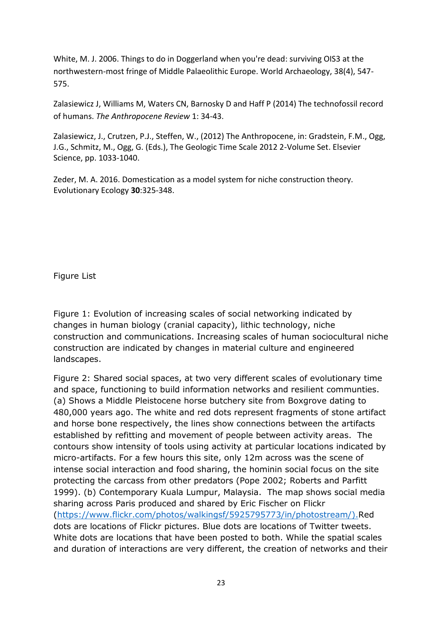White, M. J. 2006. Things to do in Doggerland when you're dead: surviving OIS3 at the northwestern-most fringe of Middle Palaeolithic Europe. World Archaeology, 38(4), 547- 575.

Zalasiewicz J, Williams M, Waters CN, Barnosky D and Haff P (2014) The technofossil record of humans. *The Anthropocene Review* 1: 34-43.

Zalasiewicz, J., Crutzen, P.J., Steffen, W., (2012) The Anthropocene, in: Gradstein, F.M., Ogg, J.G., Schmitz, M., Ogg, G. (Eds.), The Geologic Time Scale 2012 2-Volume Set. Elsevier Science, pp. 1033-1040.

Zeder, M. A. 2016. Domestication as a model system for niche construction theory. Evolutionary Ecology **30**:325-348.

Figure List

Figure 1: Evolution of increasing scales of social networking indicated by changes in human biology (cranial capacity), lithic technology, niche construction and communications. Increasing scales of human sociocultural niche construction are indicated by changes in material culture and engineered landscapes.

Figure 2: Shared social spaces, at two very different scales of evolutionary time and space, functioning to build information networks and resilient communties. (a) Shows a Middle Pleistocene horse butchery site from Boxgrove dating to 480,000 years ago. The white and red dots represent fragments of stone artifact and horse bone respectively, the lines show connections between the artifacts established by refitting and movement of people between activity areas. The contours show intensity of tools using activity at particular locations indicated by micro-artifacts. For a few hours this site, only 12m across was the scene of intense social interaction and food sharing, the hominin social focus on the site protecting the carcass from other predators (Pope 2002; Roberts and Parfitt 1999). (b) Contemporary Kuala Lumpur, Malaysia. The map shows social media sharing across Paris produced and shared by Eric Fischer on Flickr [\(https://www.flickr.com/photos/walkingsf/5925795773/in/photostream/\).R](https://www.flickr.com/photos/walkingsf/5925795773/in/photostream/)ed dots are locations of Flickr pictures. Blue dots are locations of Twitter tweets. White dots are locations that have been posted to both. While the spatial scales and duration of interactions are very different, the creation of networks and their